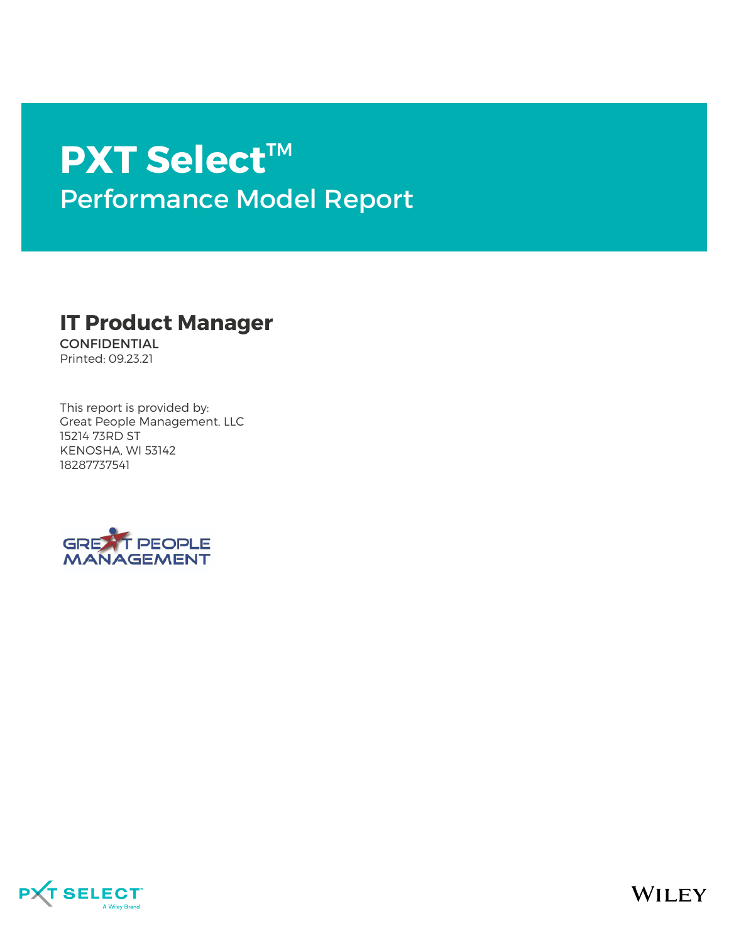# **PXT Select**™ Performance Model Report

### **IT Product Manager**

CONFIDENTIAL Printed: 09.23.21

This report is provided by: Great People Management, LLC 15214 73RD ST KENOSHA, WI 53142 18287737541



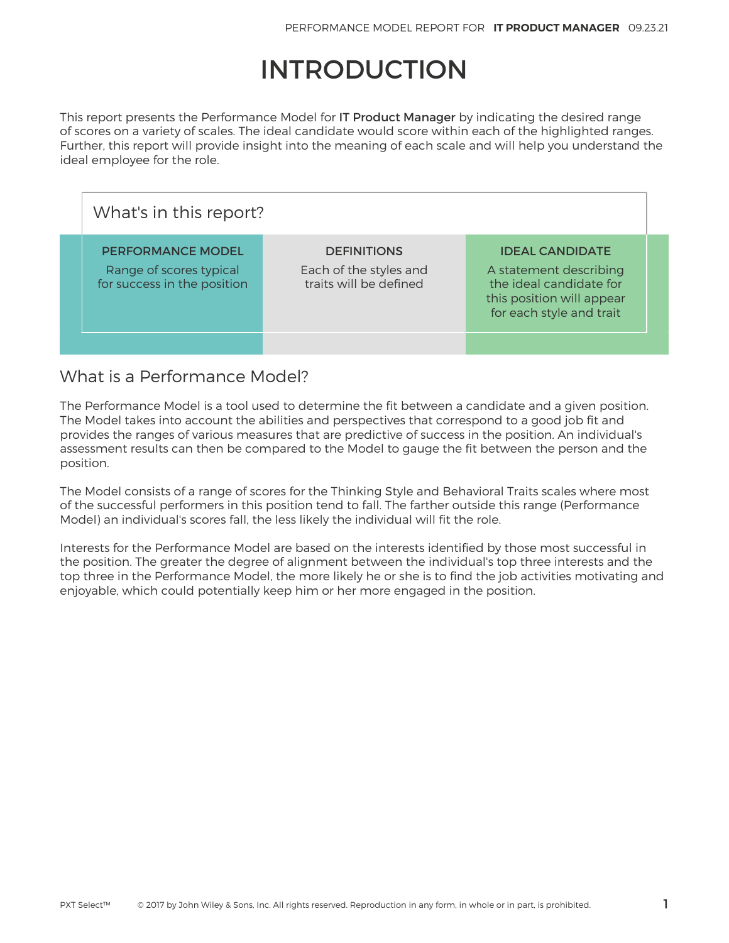## INTRODUCTION

This report presents the Performance Model for IT Product Manager by indicating the desired range of scores on a variety of scales. The ideal candidate would score within each of the highlighted ranges. Further, this report will provide insight into the meaning of each scale and will help you understand the ideal employee for the role.

| What's in this report?                                                             |                                                                        |                                                                                                                                      |  |  |  |  |  |  |
|------------------------------------------------------------------------------------|------------------------------------------------------------------------|--------------------------------------------------------------------------------------------------------------------------------------|--|--|--|--|--|--|
| <b>PERFORMANCE MODEL</b><br>Range of scores typical<br>for success in the position | <b>DEFINITIONS</b><br>Each of the styles and<br>traits will be defined | <b>IDEAL CANDIDATE</b><br>A statement describing<br>the ideal candidate for<br>this position will appear<br>for each style and trait |  |  |  |  |  |  |
|                                                                                    |                                                                        |                                                                                                                                      |  |  |  |  |  |  |

### What is a Performance Model?

The Performance Model is a tool used to determine the fit between a candidate and a given position. The Model takes into account the abilities and perspectives that correspond to a good job fit and provides the ranges of various measures that are predictive of success in the position. An individual's assessment results can then be compared to the Model to gauge the fit between the person and the position.

The Model consists of a range of scores for the Thinking Style and Behavioral Traits scales where most of the successful performers in this position tend to fall. The farther outside this range (Performance Model) an individual's scores fall, the less likely the individual will fit the role.

Interests for the Performance Model are based on the interests identified by those most successful in the position. The greater the degree of alignment between the individual's top three interests and the top three in the Performance Model, the more likely he or she is to find the job activities motivating and enjoyable, which could potentially keep him or her more engaged in the position.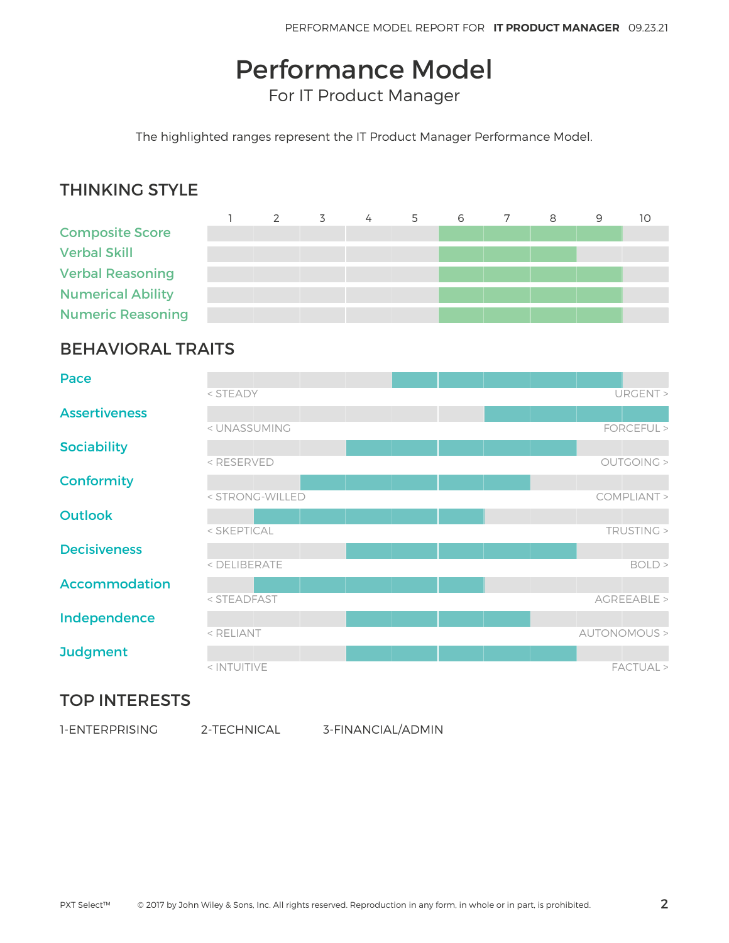## Performance Model

For IT Product Manager

The highlighted ranges represent the IT Product Manager Performance Model.

### THINKING STYLE

|                          | $\mathcal{P}$ | 3 | 4 | 5 | 6 | 8 | 9 | 10 |
|--------------------------|---------------|---|---|---|---|---|---|----|
| <b>Composite Score</b>   |               |   |   |   |   |   |   |    |
| <b>Verbal Skill</b>      |               |   |   |   |   |   |   |    |
| <b>Verbal Reasoning</b>  |               |   |   |   |   |   |   |    |
| <b>Numerical Ability</b> |               |   |   |   |   |   |   |    |
| <b>Numeric Reasoning</b> |               |   |   |   |   |   |   |    |

### BEHAVIORAL TRAITS

| Pace                 |                                                              |  |              |
|----------------------|--------------------------------------------------------------|--|--------------|
|                      | < STEADY                                                     |  | URGENT >     |
| <b>Assertiveness</b> |                                                              |  |              |
|                      | < UNASSUMING                                                 |  | FORCEFUL >   |
| <b>Sociability</b>   |                                                              |  |              |
|                      | <reserved< th=""><th></th><th>OUTGOING &gt;</th></reserved<> |  | OUTGOING >   |
| <b>Conformity</b>    |                                                              |  |              |
|                      | < STRONG-WILLED                                              |  | COMPLIANT >  |
| <b>Outlook</b>       |                                                              |  |              |
|                      | < SKEPTICAL                                                  |  | TRUSTING >   |
| <b>Decisiveness</b>  |                                                              |  |              |
|                      | < DELIBERATE                                                 |  | BOLD         |
| <b>Accommodation</b> |                                                              |  |              |
|                      | < STEADFAST                                                  |  | AGREEABLE >  |
| Independence         |                                                              |  |              |
|                      | < RELIANT                                                    |  | AUTONOMOUS > |
| <b>Judgment</b>      |                                                              |  |              |
|                      | < INTUITIVE                                                  |  | FACTUAL >    |

### TOP INTERESTS

1-ENTERPRISING 2-TECHNICAL 3-FINANCIAL/ADMIN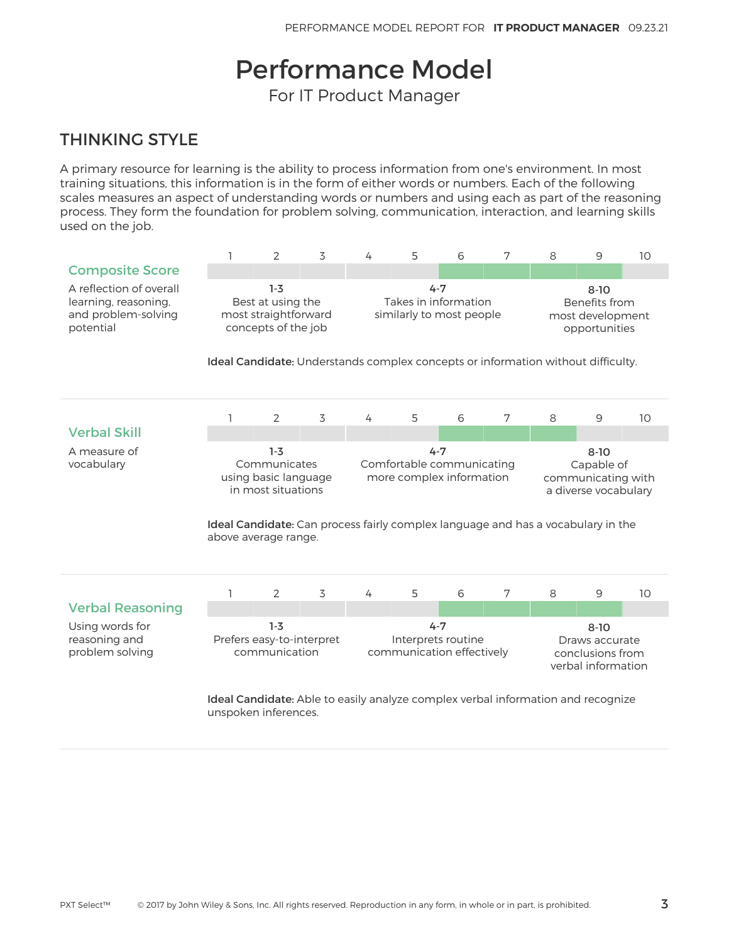## Performance Model

For IT Product Manager

### THINKING STYLE

A primary resource for learning is the ability to process information from one's environment. In most training situations, this information is in the form of either words or numbers. Each of the following scales measures an aspect of understanding words or numbers and using each as part of the reasoning process. They form the foundation for problem solving, communication, interaction, and learning skills used on the job.

|                                                                                     | 1                                                                                                                                                                               | $\overline{2}$         | 3                         | 4 | 5                                                                | 6 | 7                                                                    | 8                                                                                                                                                  | 9 | 10 |  |
|-------------------------------------------------------------------------------------|---------------------------------------------------------------------------------------------------------------------------------------------------------------------------------|------------------------|---------------------------|---|------------------------------------------------------------------|---|----------------------------------------------------------------------|----------------------------------------------------------------------------------------------------------------------------------------------------|---|----|--|
| <b>Composite Score</b>                                                              |                                                                                                                                                                                 |                        |                           |   |                                                                  |   |                                                                      |                                                                                                                                                    |   |    |  |
| A reflection of overall<br>learning, reasoning,<br>and problem-solving<br>potential | $1-3$<br>Best at using the<br>most straightforward<br>concepts of the job                                                                                                       |                        |                           |   | $4 - 7$<br>Takes in information<br>similarly to most people      |   |                                                                      | $8 - 10$<br>Benefits from<br>most development<br>opportunities<br>Ideal Candidate: Understands complex concepts or information without difficulty. |   |    |  |
|                                                                                     | 1                                                                                                                                                                               | $\overline{2}$         | 3                         | 4 | 5                                                                | 6 | 7                                                                    | 8                                                                                                                                                  | 9 | 10 |  |
| <b>Verbal Skill</b>                                                                 |                                                                                                                                                                                 |                        |                           |   |                                                                  |   |                                                                      |                                                                                                                                                    |   |    |  |
| A measure of<br>vocabulary                                                          | $1-3$<br>Communicates<br>using basic language<br>in most situations<br>Ideal Candidate: Can process fairly complex language and has a vocabulary in the<br>above average range. |                        |                           |   | $4 - 7$<br>Comfortable communicating<br>more complex information |   | $8 - 10$<br>Capable of<br>communicating with<br>a diverse vocabulary |                                                                                                                                                    |   |    |  |
|                                                                                     | 1                                                                                                                                                                               | $\overline{2}$         | 3                         | 4 | 5                                                                | 6 | 7                                                                    | 8                                                                                                                                                  | 9 | 10 |  |
| <b>Verbal Reasoning</b>                                                             |                                                                                                                                                                                 |                        |                           |   |                                                                  |   |                                                                      |                                                                                                                                                    |   |    |  |
| Using words for<br>reasoning and<br>problem solving                                 |                                                                                                                                                                                 | $1-3$<br>communication | Prefers easy-to-interpret |   | $4 - 7$<br>Interprets routine<br>communication effectively       |   | $8 - 10$<br>Draws accurate<br>conclusions from<br>verbal information |                                                                                                                                                    |   |    |  |
|                                                                                     | <b>Ideal Candidate:</b> Able to easily analyze complex verbal information and recognize<br>unspoken inferences.                                                                 |                        |                           |   |                                                                  |   |                                                                      |                                                                                                                                                    |   |    |  |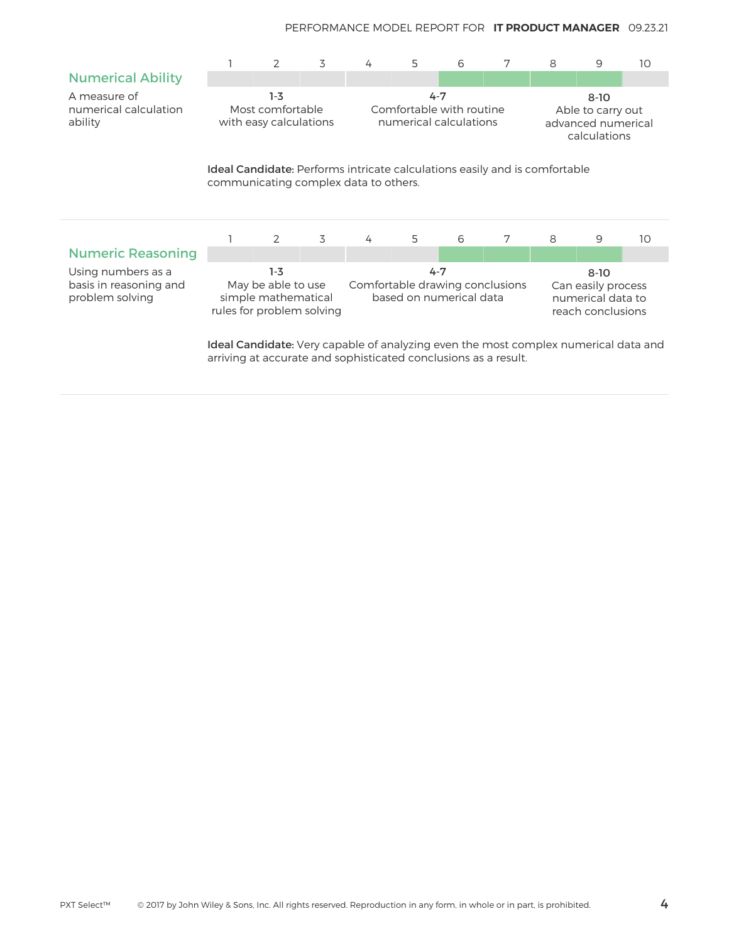|                                                                 |                                                                                                                            | $\mathcal{P}$                                       | 3                                                                                                                                                              | 4                                                                                                                                                 | 5                                                             | 6 | 7                                                                   | 8 | 9 | 10 |  |
|-----------------------------------------------------------------|----------------------------------------------------------------------------------------------------------------------------|-----------------------------------------------------|----------------------------------------------------------------------------------------------------------------------------------------------------------------|---------------------------------------------------------------------------------------------------------------------------------------------------|---------------------------------------------------------------|---|---------------------------------------------------------------------|---|---|----|--|
| <b>Numerical Ability</b>                                        |                                                                                                                            |                                                     |                                                                                                                                                                |                                                                                                                                                   |                                                               |   |                                                                     |   |   |    |  |
| A measure of<br>numerical calculation<br>ability                |                                                                                                                            | $1-3$<br>Most comfortable<br>with easy calculations |                                                                                                                                                                |                                                                                                                                                   | $4 - 7$<br>Comfortable with routine<br>numerical calculations |   | $8 - 10$<br>Able to carry out<br>advanced numerical<br>calculations |   |   |    |  |
|                                                                 | <b>Ideal Candidate:</b> Performs intricate calculations easily and is comfortable<br>communicating complex data to others. |                                                     |                                                                                                                                                                |                                                                                                                                                   |                                                               |   |                                                                     |   |   |    |  |
|                                                                 |                                                                                                                            | 2                                                   | 3                                                                                                                                                              | 4                                                                                                                                                 | 5                                                             | 6 | 7                                                                   | 8 | 9 | 10 |  |
| <b>Numeric Reasoning</b>                                        |                                                                                                                            |                                                     |                                                                                                                                                                |                                                                                                                                                   |                                                               |   |                                                                     |   |   |    |  |
| Using numbers as a<br>basis in reasoning and<br>problem solving | $1-3$<br>May be able to use<br>simple mathematical<br>rules for problem solving                                            |                                                     |                                                                                                                                                                | $4 - 7$<br>$8 - 10$<br>Comfortable drawing conclusions<br>Can easily process<br>based on numerical data<br>numerical data to<br>reach conclusions |                                                               |   |                                                                     |   |   |    |  |
|                                                                 |                                                                                                                            |                                                     | <b>Ideal Candidate</b> : Very capable of analyzing even the most complex numerical data and<br>arriving at accurate and sophisticated conclusions as a result. |                                                                                                                                                   |                                                               |   |                                                                     |   |   |    |  |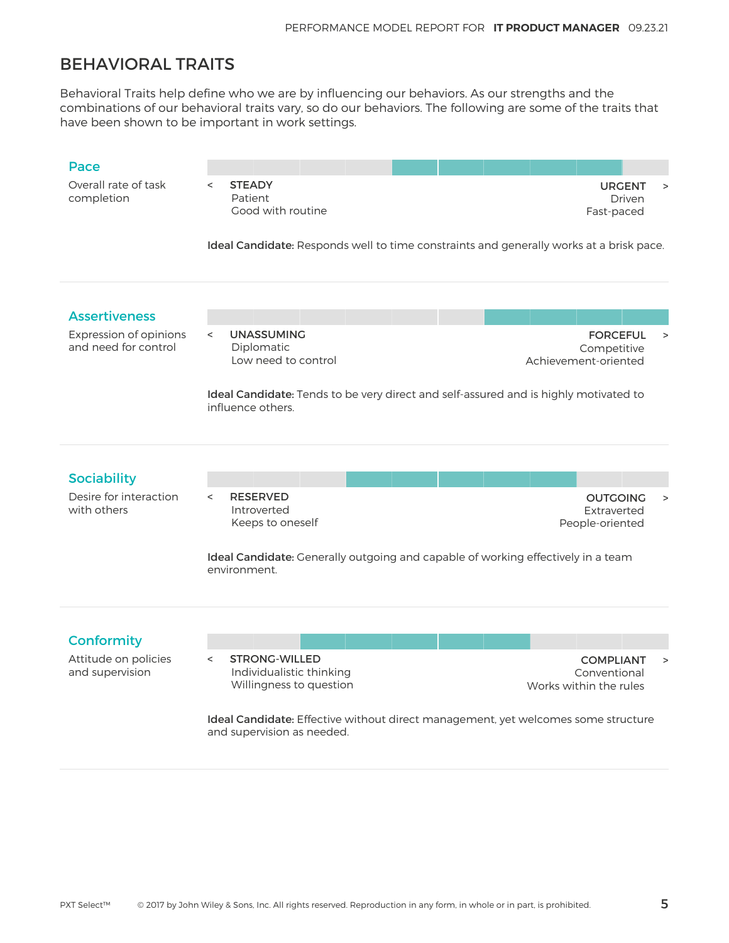### BEHAVIORAL TRAITS

Behavioral Traits help define who we are by influencing our behaviors. As our strengths and the combinations of our behavioral traits vary, so do our behaviors. The following are some of the traits that have been shown to be important in work settings.

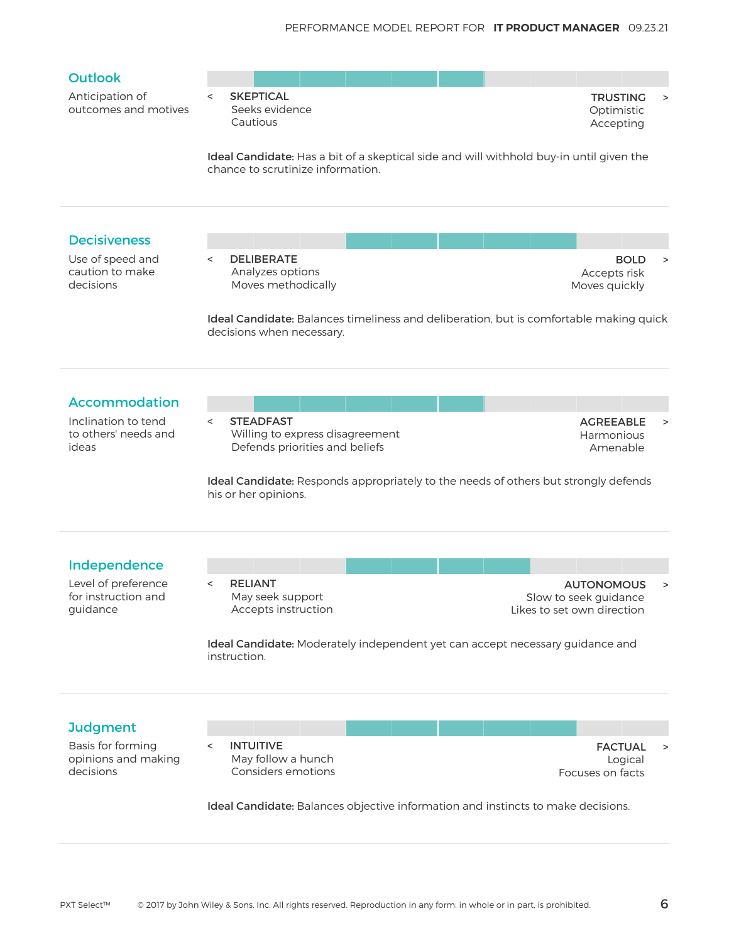